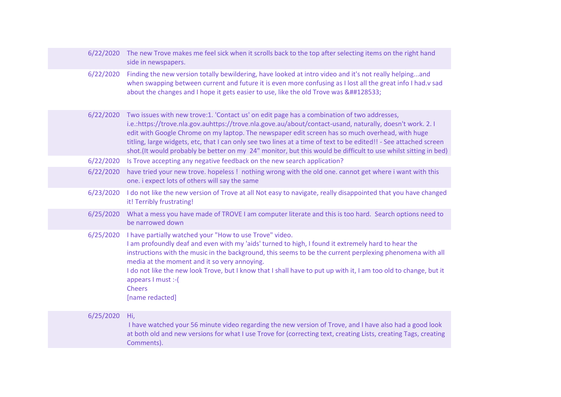|           | 6/22/2020 The new Trove makes me feel sick when it scrolls back to the top after selecting items on the right hand<br>side in newspapers.                                                                                                                                                                                                                                                                                                                                                                                                        |
|-----------|--------------------------------------------------------------------------------------------------------------------------------------------------------------------------------------------------------------------------------------------------------------------------------------------------------------------------------------------------------------------------------------------------------------------------------------------------------------------------------------------------------------------------------------------------|
| 6/22/2020 | Finding the new version totally bewildering, have looked at intro video and it's not really helpingand<br>when swapping between current and future it is even more confusing as I lost all the great info I had.v sad<br>about the changes and I hope it gets easier to use, like the old Trove was &##128533;                                                                                                                                                                                                                                   |
| 6/22/2020 | Two issues with new trove:1. 'Contact us' on edit page has a combination of two addresses,<br>i.e.:https://trove.nla.gov.auhttps://trove.nla.gove.au/about/contact-usand, naturally, doesn't work. 2.1<br>edit with Google Chrome on my laptop. The newspaper edit screen has so much overhead, with huge<br>titling, large widgets, etc, that I can only see two lines at a time of text to be edited!! - See attached screen<br>shot.(It would probably be better on my 24" monitor, but this would be difficult to use whilst sitting in bed) |
| 6/22/2020 | Is Trove accepting any negative feedback on the new search application?                                                                                                                                                                                                                                                                                                                                                                                                                                                                          |
| 6/22/2020 | have tried your new trove. hopeless! nothing wrong with the old one. cannot get where i want with this<br>one. i expect lots of others will say the same                                                                                                                                                                                                                                                                                                                                                                                         |
| 6/23/2020 | I do not like the new version of Trove at all Not easy to navigate, really disappointed that you have changed<br>it! Terribly frustrating!                                                                                                                                                                                                                                                                                                                                                                                                       |
| 6/25/2020 | What a mess you have made of TROVE I am computer literate and this is too hard. Search options need to<br>be narrowed down                                                                                                                                                                                                                                                                                                                                                                                                                       |
| 6/25/2020 | I have partially watched your "How to use Trove" video.<br>I am profoundly deaf and even with my 'aids' turned to high, I found it extremely hard to hear the<br>instructions with the music in the background, this seems to be the current perplexing phenomena with all<br>media at the moment and it so very annoying.<br>I do not like the new look Trove, but I know that I shall have to put up with it, I am too old to change, but it<br>appears I must :- (<br><b>Cheers</b><br>[name redacted]                                        |
| 6/25/2020 | Hi,<br>I have watched your 56 minute video regarding the new version of Trove, and I have also had a good look<br>at both old and new versions for what I use Trove for (correcting text, creating Lists, creating Tags, creating<br>Comments).                                                                                                                                                                                                                                                                                                  |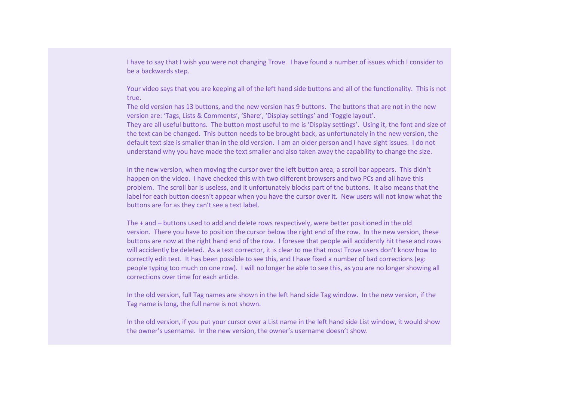I have to say that I wish you were not changing Trove. I have found a number of issues which I consider to be a backwards step.

Your video says that you are keeping all of the left hand side buttons and all of the functionality. This is not true.

The old version has 13 buttons, and the new version has 9 buttons. The buttons that are not in the new version are: 'Tags, Lists & Comments', 'Share', 'Display settings' and 'Toggle layout'.

They are all useful buttons. The button most useful to me is 'Display settings'. Using it, the font and size of the text can be changed. This button needs to be brought back, as unfortunately in the new version, the default text size is smaller than in the old version. I am an older person and I have sight issues. I do not understand why you have made the text smaller and also taken away the capability to change the size.

In the new version, when moving the cursor over the left button area, a scroll bar appears. This didn't happen on the video. I have checked this with two different browsers and two PCs and all have this problem. The scroll bar is useless, and it unfortunately blocks part of the buttons. It also means that the label for each button doesn't appear when you have the cursor over it. New users will not know what the buttons are for as they can't see a text label.

The + and – buttons used to add and delete rows respectively, were better positioned in the old version. There you have to position the cursor below the right end of the row. In the new version, these buttons are now at the right hand end of the row. I foresee that people will accidently hit these and rows will accidently be deleted. As a text corrector, it is clear to me that most Trove users don't know how to correctly edit text. It has been possible to see this, and I have fixed a number of bad corrections (eg: people typing too much on one row). I will no longer be able to see this, as you are no longer showing all corrections over time for each article.

In the old version, full Tag names are shown in the left hand side Tag window. In the new version, if the Tag name is long, the full name is not shown.

In the old version, if you put your cursor over a List name in the left hand side List window, it would show the owner's username. In the new version, the owner's username doesn't show.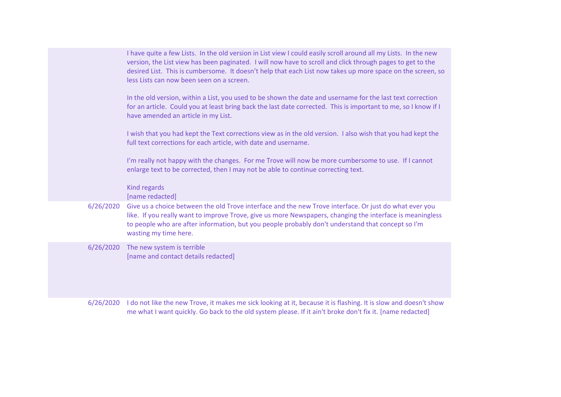|           | I have quite a few Lists. In the old version in List view I could easily scroll around all my Lists. In the new<br>version, the List view has been paginated. I will now have to scroll and click through pages to get to the<br>desired List. This is cumbersome. It doesn't help that each List now takes up more space on the screen, so<br>less Lists can now been seen on a screen. |
|-----------|------------------------------------------------------------------------------------------------------------------------------------------------------------------------------------------------------------------------------------------------------------------------------------------------------------------------------------------------------------------------------------------|
|           | In the old version, within a List, you used to be shown the date and username for the last text correction<br>for an article. Could you at least bring back the last date corrected. This is important to me, so I know if I<br>have amended an article in my List.                                                                                                                      |
|           | I wish that you had kept the Text corrections view as in the old version. I also wish that you had kept the<br>full text corrections for each article, with date and username.                                                                                                                                                                                                           |
|           | I'm really not happy with the changes. For me Trove will now be more cumbersome to use. If I cannot<br>enlarge text to be corrected, then I may not be able to continue correcting text.                                                                                                                                                                                                 |
|           | <b>Kind regards</b><br>[name redacted]                                                                                                                                                                                                                                                                                                                                                   |
| 6/26/2020 | Give us a choice between the old Trove interface and the new Trove interface. Or just do what ever you<br>like. If you really want to improve Trove, give us more Newspapers, changing the interface is meaningless<br>to people who are after information, but you people probably don't understand that concept so I'm<br>wasting my time here.                                        |
| 6/26/2020 | The new system is terrible<br>[name and contact details redacted]                                                                                                                                                                                                                                                                                                                        |
| 6/26/2020 | I do not like the new Trove, it makes me sick looking at it, because it is flashing. It is slow and doesn't show<br>me what I want quickly. Go back to the old system please. If it ain't broke don't fix it. [name redacted]                                                                                                                                                            |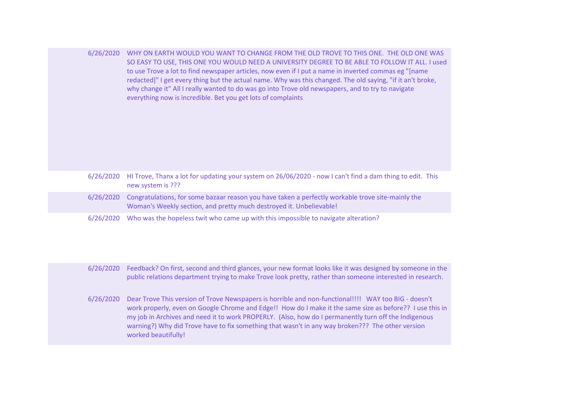| 6/26/2020 WHY ON EARTH WOULD YOU WANT TO CHANGE FROM THE OLD TROVE TO THIS ONE. THE OLD ONE WAS            |
|------------------------------------------------------------------------------------------------------------|
| SO EASY TO USE, THIS ONE YOU WOULD NEED A UNIVERSITY DEGREE TO BE ABLE TO FOLLOW IT ALL. I used            |
| to use Trove a lot to find newspaper articles, now even if I put a name in inverted commas eg "[name       |
| redacted]" I get every thing but the actual name. Why was this changed. The old saying, "if it an't broke, |
| why change it" All I really wanted to do was go into Trove old newspapers, and to try to navigate          |
| everything now is incredible. Bet you get lots of complaints                                               |

|           | 6/26/2020 HI Trove, Thanx a lot for updating your system on 26/06/2020 - now I can't find a dam thing to edit. This<br>new system is ???                                 |
|-----------|--------------------------------------------------------------------------------------------------------------------------------------------------------------------------|
| 6/26/2020 | Congratulations, for some bazaar reason you have taken a perfectly workable trove site-mainly the<br>Woman's Weekly section, and pretty much destroyed it. Unbelievable! |
| 6/26/2020 | Who was the hopeless twit who came up with this impossible to navigate alteration?                                                                                       |

6/26/2020 Feedback? On first, second and third glances, your new format looks like it was designed by someone in the public relations department trying to make Trove look pretty, rather than someone interested in research.

6/26/2020 Dear Trove This version of Trove Newspapers is horrible and non-functional!!!! WAY too BIG - doesn't work properly, even on Google Chrome and Edge!! How do I make it the same size as before?? I use this in my job in Archives and need it to work PROPERLY. (Also, how do I permanently turn off the Indigenous warning?) Why did Trove have to fix something that wasn't in any way broken??? The other version worked beautifully!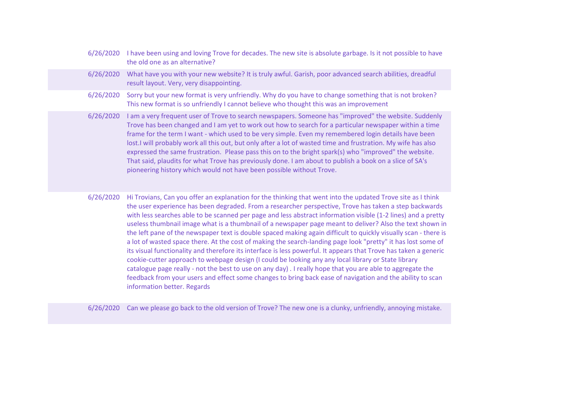| 6/26/2020 | I have been using and loving Trove for decades. The new site is absolute garbage. Is it not possible to have<br>the old one as an alternative?                                                                                                                                                                                                                                                                                                                                                                                                                                                                                                                                                                                         |
|-----------|----------------------------------------------------------------------------------------------------------------------------------------------------------------------------------------------------------------------------------------------------------------------------------------------------------------------------------------------------------------------------------------------------------------------------------------------------------------------------------------------------------------------------------------------------------------------------------------------------------------------------------------------------------------------------------------------------------------------------------------|
| 6/26/2020 | What have you with your new website? It is truly awful. Garish, poor advanced search abilities, dreadful<br>result layout. Very, very disappointing.                                                                                                                                                                                                                                                                                                                                                                                                                                                                                                                                                                                   |
| 6/26/2020 | Sorry but your new format is very unfriendly. Why do you have to change something that is not broken?<br>This new format is so unfriendly I cannot believe who thought this was an improvement                                                                                                                                                                                                                                                                                                                                                                                                                                                                                                                                         |
| 6/26/2020 | I am a very frequent user of Trove to search newspapers. Someone has "improved" the website. Suddenly<br>Trove has been changed and I am yet to work out how to search for a particular newspaper within a time<br>frame for the term I want - which used to be very simple. Even my remembered login details have been<br>lost. I will probably work all this out, but only after a lot of wasted time and frustration. My wife has also<br>expressed the same frustration. Please pass this on to the bright spark(s) who "improved" the website.<br>That said, plaudits for what Trove has previously done. I am about to publish a book on a slice of SA's<br>pioneering history which would not have been possible without Trove. |
| 6/26/2020 | Hi Trovians, Can you offer an explanation for the thinking that went into the updated Trove site as I think<br>the user experience has been degraded. From a researcher perspective, Trove has taken a step backwards<br>with less searches able to be scanned per page and less abstract information visible (1-2 lines) and a pretty<br>useless thumbnail image what is a thumbnail of a newspaper page meant to deliver? Also the text shown in<br>rka hafi mama afaka massaa suuramista daskka amaaad maktiga aasti altfftaskaa mitakkisitasallisaamin akana ta                                                                                                                                                                    |

the left pane of the newspaper text is double spaced making again difficult to quickly visually scan - there is a lot of wasted space there. At the cost of making the search-landing page look "pretty" it has lost some of its visual functionality and therefore its interface is less powerful. It appears that Trove has taken a generic cookie-cutter approach to webpage design (I could be looking any any local library or State library catalogue page really - not the best to use on any day) . I really hope that you are able to aggregate the feedback from your users and effect some changes to bring back ease of navigation and the ability to scan information better. Regards

6/26/2020 Can we please go back to the old version of Trove? The new one is a clunky, unfriendly, annoying mistake.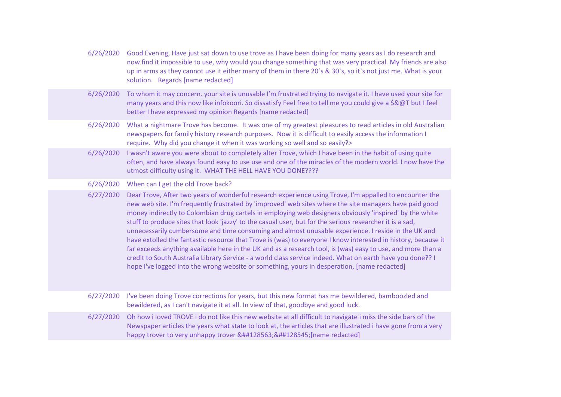|           | 6/26/2020 Good Evening, Have just sat down to use trove as I have been doing for many years as I do research and<br>now find it impossible to use, why would you change something that was very practical. My friends are also<br>up in arms as they cannot use it either many of them in there 20's & 30's, so it's not just me. What is your<br>solution. Regards [name redacted]                                                                                                                                                                                                                                                                                                                                                                                                                                                                                                                                                                                                        |
|-----------|--------------------------------------------------------------------------------------------------------------------------------------------------------------------------------------------------------------------------------------------------------------------------------------------------------------------------------------------------------------------------------------------------------------------------------------------------------------------------------------------------------------------------------------------------------------------------------------------------------------------------------------------------------------------------------------------------------------------------------------------------------------------------------------------------------------------------------------------------------------------------------------------------------------------------------------------------------------------------------------------|
| 6/26/2020 | To whom it may concern. your site is unusable I'm frustrated trying to navigate it. I have used your site for<br>many years and this now like infokoori. So dissatisfy Feel free to tell me you could give a \$&@T but I feel<br>better I have expressed my opinion Regards [name redacted]                                                                                                                                                                                                                                                                                                                                                                                                                                                                                                                                                                                                                                                                                                |
| 6/26/2020 | What a nightmare Trove has become. It was one of my greatest pleasures to read articles in old Australian<br>newspapers for family history research purposes. Now it is difficult to easily access the information I<br>require. Why did you change it when it was working so well and so easily?>                                                                                                                                                                                                                                                                                                                                                                                                                                                                                                                                                                                                                                                                                         |
| 6/26/2020 | I wasn't aware you were about to completely alter Trove, which I have been in the habit of using quite<br>often, and have always found easy to use use and one of the miracles of the modern world. I now have the<br>utmost difficulty using it. WHAT THE HELL HAVE YOU DONE????                                                                                                                                                                                                                                                                                                                                                                                                                                                                                                                                                                                                                                                                                                          |
| 6/26/2020 | When can I get the old Trove back?                                                                                                                                                                                                                                                                                                                                                                                                                                                                                                                                                                                                                                                                                                                                                                                                                                                                                                                                                         |
| 6/27/2020 | Dear Trove, After two years of wonderful research experience using Trove, I'm appalled to encounter the<br>new web site. I'm frequently frustrated by 'improved' web sites where the site managers have paid good<br>money indirectly to Colombian drug cartels in employing web designers obviously 'inspired' by the white<br>stuff to produce sites that look 'jazzy' to the casual user, but for the serious researcher it is a sad,<br>unnecessarily cumbersome and time consuming and almost unusable experience. I reside in the UK and<br>have extolled the fantastic resource that Trove is (was) to everyone I know interested in history, because it<br>far exceeds anything available here in the UK and as a research tool, is (was) easy to use, and more than a<br>credit to South Australia Library Service - a world class service indeed. What on earth have you done?? I<br>hope I've logged into the wrong website or something, yours in desperation, [name redacted] |
| 6/27/2020 | I've been doing Trove corrections for years, but this new format has me bewildered, bamboozled and<br>bewildered, as I can't navigate it at all. In view of that, goodbye and good luck.                                                                                                                                                                                                                                                                                                                                                                                                                                                                                                                                                                                                                                                                                                                                                                                                   |
| 6/27/2020 | Oh how i loved TROVE i do not like this new website at all difficult to navigate i miss the side bars of the<br>Newspaper articles the years what state to look at, the articles that are illustrated i have gone from a very<br>happy trover to very unhappy trover &##128563;&##128545;[name redacted]</td></tr><tr><td></td><td></td></tr></tbody></table>                                                                                                                                                                                                                                                                                                                                                                                                                                                                                                                                                                                                                              |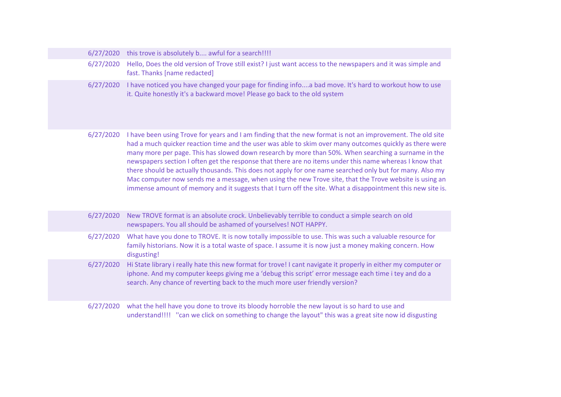|  | 6/27/2020 | this trove is absolutely b awful for a search!!!!                                                                                                                                                                                                                                                                                                                                                                                                                                                                                                                                                                                                                                                                                                                           |
|--|-----------|-----------------------------------------------------------------------------------------------------------------------------------------------------------------------------------------------------------------------------------------------------------------------------------------------------------------------------------------------------------------------------------------------------------------------------------------------------------------------------------------------------------------------------------------------------------------------------------------------------------------------------------------------------------------------------------------------------------------------------------------------------------------------------|
|  | 6/27/2020 | Hello, Does the old version of Trove still exist? I just want access to the newspapers and it was simple and<br>fast. Thanks [name redacted]                                                                                                                                                                                                                                                                                                                                                                                                                                                                                                                                                                                                                                |
|  | 6/27/2020 | I have noticed you have changed your page for finding infoa bad move. It's hard to workout how to use<br>it. Quite honestly it's a backward move! Please go back to the old system                                                                                                                                                                                                                                                                                                                                                                                                                                                                                                                                                                                          |
|  | 6/27/2020 | I have been using Trove for years and I am finding that the new format is not an improvement. The old site<br>had a much quicker reaction time and the user was able to skim over many outcomes quickly as there were<br>many more per page. This has slowed down research by more than 50%. When searching a surname in the<br>newspapers section I often get the response that there are no items under this name whereas I know that<br>there should be actually thousands. This does not apply for one name searched only but for many. Also my<br>Mac computer now sends me a message, when using the new Trove site, that the Trove website is using an<br>immense amount of memory and it suggests that I turn off the site. What a disappointment this new site is. |
|  | 6/27/2020 | New TROVE format is an absolute crock. Unbelievably terrible to conduct a simple search on old<br>newspapers. You all should be ashamed of yourselves! NOT HAPPY.                                                                                                                                                                                                                                                                                                                                                                                                                                                                                                                                                                                                           |
|  | 6/27/2020 | What have you done to TROVE. It is now totally impossible to use. This was such a valuable resource for<br>family historians. Now it is a total waste of space. I assume it is now just a money making concern. How<br>disgusting!                                                                                                                                                                                                                                                                                                                                                                                                                                                                                                                                          |
|  | 6/27/2020 | Hi State library i really hate this new format for trove! I cant navigate it properly in either my computer or<br>iphone. And my computer keeps giving me a 'debug this script' error message each time i tey and do a<br>search. Any chance of reverting back to the much more user friendly version?                                                                                                                                                                                                                                                                                                                                                                                                                                                                      |
|  | 6/27/2020 | what the hell have you done to trove its bloody horroble the new layout is so hard to use and<br>understand!!!! "can we click on something to change the layout" this was a great site now id disgusting                                                                                                                                                                                                                                                                                                                                                                                                                                                                                                                                                                    |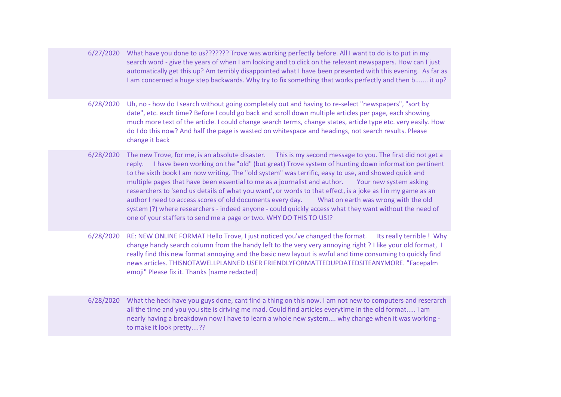6/27/2020 What have you done to us??????? Trove was working perfectly before. All I want to do is to put in my search word - give the years of when I am looking and to click on the relevant newspapers. How can I just automatically get this up? Am terribly disappointed what I have been presented with this evening. As far as I am concerned a huge step backwards. Why try to fix something that works perfectly and then b....... it up?

6/28/2020 Uh, no - how do I search without going completely out and having to re-select "newspapers", "sort by date", etc. each time? Before I could go back and scroll down multiple articles per page, each showing much more text of the article. I could change search terms, change states, article type etc. very easily. How do I do this now? And half the page is wasted on whitespace and headings, not search results. Please change it back

6/28/2020 The new Trove, for me, is an absolute disaster. This is my second message to you. The first did not get a reply. I have been working on the "old" (but great) Trove system of hunting down information pertinent to the sixth book I am now writing. The "old system" was terrific, easy to use, and showed quick and multiple pages that have been essential to me as a journalist and author. Your new system asking researchers to 'send us details of what you want', or words to that effect, is a joke as I in my game as an author I need to access scores of old documents every day. What on earth was wrong with the old system (?) where researchers - indeed anyone - could quickly access what they want without the need of one of your staffers to send me a page or two. WHY DO THIS TO US!?

6/28/2020 RE: NEW ONLINE FORMAT Hello Trove, I just noticed you've changed the format. Its really terrible ! Why change handy search column from the handy left to the very very annoying right ? I like your old format, I really find this new format annoying and the basic new layout is awful and time consuming to quickly find news articles. THISNOTAWELLPLANNED USER FRIENDLYFORMATTEDUPDATEDSITEANYMORE. "Facepalm emoji" Please fix it. Thanks [name redacted]

6/28/2020 What the heck have you guys done, cant find a thing on this now. I am not new to computers and reserarch all the time and you you site is driving me mad. Could find articles everytime in the old format..... i am nearly having a breakdown now I have to learn a whole new system.... why change when it was working to make it look pretty....??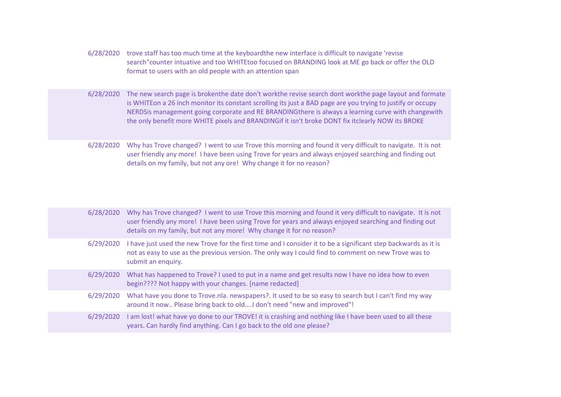- 6/28/2020 trove staff has too much time at the keyboardthe new interface is difficult to navigate 'revise search"counter intuative and too WHITEtoo focused on BRANDING look at ME go back or offer the OLD format to users with an old people with an attention span
- 6/28/2020 The new search page is brokenthe date don't workthe revise search dont workthe page layout and formate is WHITEon a 26 inch monitor its constant scrolling its just a BAD page are you trying to justify or occupy NERDSis management going corporate and RE BRANDINGthere is always a learning curve with changewith the only benefit more WHITE pixels and BRANDINGif it isn't broke DONT fix itclearly NOW its BROKE
- 6/28/2020 Why has Trove changed? I went to use Trove this morning and found it very difficult to navigate. It is not user friendly any more! I have been using Trove for years and always enjoyed searching and finding out details on my family, but not any ore! Why change it for no reason?

|           | 6/28/2020 Why has Trove changed? I went to use Trove this morning and found it very difficult to navigate. It is not<br>user friendly any more! I have been using Trove for years and always enjoyed searching and finding out<br>details on my family, but not any more! Why change it for no reason? |
|-----------|--------------------------------------------------------------------------------------------------------------------------------------------------------------------------------------------------------------------------------------------------------------------------------------------------------|
|           | 6/29/2020 I have just used the new Trove for the first time and I consider it to be a significant step backwards as it is<br>not as easy to use as the previous version. The only way I could find to comment on new Trove was to<br>submit an enquiry.                                                |
| 6/29/2020 | What has happened to Trove? I used to put in a name and get results now I have no idea how to even<br>begin???? Not happy with your changes. [name redacted]                                                                                                                                           |
| 6/29/2020 | What have you done to Trove.nla. newspapers?. It used to be so easy to search but I can't find my way<br>around it now Please bring back to oldI don't need "new and improved"!                                                                                                                        |
| 6/29/2020 | I am lost! what have yo done to our TROVE! it is crashing and nothing like I have been used to all these<br>years. Can hardly find anything. Can I go back to the old one please?                                                                                                                      |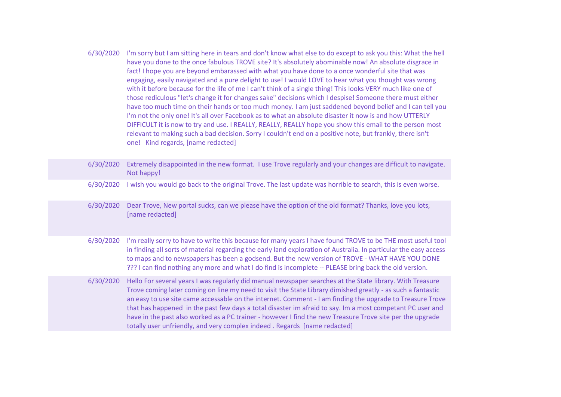6/30/2020 I'm sorry but I am sitting here in tears and don't know what else to do except to ask you this: What the hell have you done to the once fabulous TROVE site? It's absolutely abominable now! An absolute disgrace in fact! I hope you are beyond embarassed with what you have done to a once wonderful site that was engaging, easily navigated and a pure delight to use! I would LOVE to hear what you thought was wrong with it before because for the life of me I can't think of a single thing! This looks VERY much like one of those rediculous "let's change it for changes sake" decisions which I despise! Someone there must either have too much time on their hands or too much money. I am just saddened beyond belief and I can tell you I'm not the only one! It's all over Facebook as to what an absolute disaster it now is and how UTTERLY DIFFICULT it is now to try and use. I REALLY, REALLY, REALLY hope you show this email to the person most relevant to making such a bad decision. Sorry I couldn't end on a positive note, but frankly, there isn't one! Kind regards, [name redacted]

| 6/30/2020 | Extremely disappointed in the new format. I use Trove regularly and your changes are difficult to navigate.<br>Not happy!                                                                                                                                                                                                                                                                                                                                                                                                                                                                                                                    |
|-----------|----------------------------------------------------------------------------------------------------------------------------------------------------------------------------------------------------------------------------------------------------------------------------------------------------------------------------------------------------------------------------------------------------------------------------------------------------------------------------------------------------------------------------------------------------------------------------------------------------------------------------------------------|
| 6/30/2020 | I wish you would go back to the original Trove. The last update was horrible to search, this is even worse.                                                                                                                                                                                                                                                                                                                                                                                                                                                                                                                                  |
| 6/30/2020 | Dear Trove, New portal sucks, can we please have the option of the old format? Thanks, love you lots,<br>[name redacted]                                                                                                                                                                                                                                                                                                                                                                                                                                                                                                                     |
| 6/30/2020 | I'm really sorry to have to write this because for many years I have found TROVE to be THE most useful tool<br>in finding all sorts of material regarding the early land exploration of Australia. In particular the easy access<br>to maps and to newspapers has been a godsend. But the new version of TROVE - WHAT HAVE YOU DONE<br>??? I can find nothing any more and what I do find is incomplete -- PLEASE bring back the old version.                                                                                                                                                                                                |
| 6/30/2020 | Hello For several years I was regularly did manual newspaper searches at the State library. With Treasure<br>Trove coming later coming on line my need to visit the State Library dimished greatly - as such a fantastic<br>an easy to use site came accessable on the internet. Comment - I am finding the upgrade to Treasure Trove<br>that has happened in the past few days a total disaster im afraid to say. Im a most competant PC user and<br>have in the past also worked as a PC trainer - however I find the new Treasure Trove site per the upgrade<br>totally user unfriendly, and very complex indeed. Regards [name redacted] |